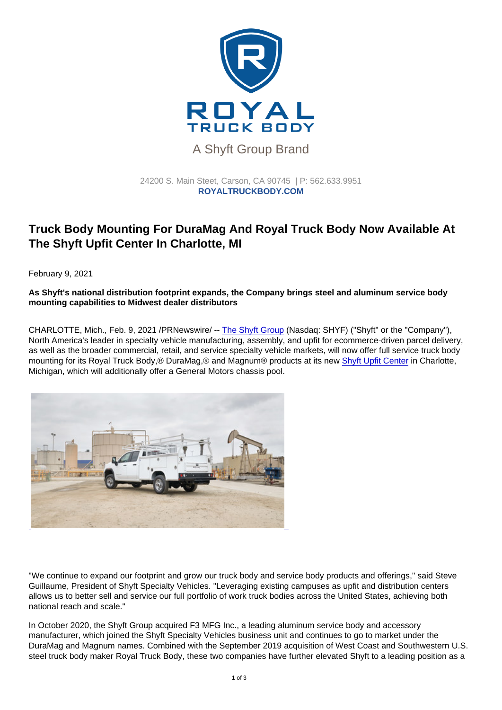## A Shyft Group Brand

## 24200 S. Main Steet, Carson, CA 90745 | P: [562.633.9951](tel:+15626339951) ROYALTRUCKBODY.COM

## Truck Body Mounting For DuraMag And Royal Truck Body Now Available At The Shyft Upfit Center In Charlotte, MI

February 9, 2021

As Shyft's national distribution footprint expands, the Company brings steel and aluminum service body mounting capabilities to Midwest dealer distributors

CHARLOTTE, Mich., Feb. 9, 2021 /PRNewswire/ -- [The Shyft Group](https://c212.net/c/link/?t=0&l=en&o=3063169-1&h=2343015797&u=https://theshyftgroup.com/&a=The+Shyft+Group) (Nasdaq: SHYF) ("Shyft" or the "Company"), North America's leader in specialty vehicle manufacturing, assembly, and upfit for ecommerce-driven parcel delivery, as well as the broader commercial, retail, and service specialty vehicle markets, will now offer full service truck body mounting for its Royal Truck Body,® DuraMag,® and Magnum® products at its new [Shyft Upfit Center](https://c212.net/c/link/?t=0&l=en&o=3063169-1&h=2864670548&u=https://theshyftgroup.com/shyft-upfit-center&a=Shyft+Upfit+Center) in Charlotte, Michigan, which will additionally offer a General Motors chassis pool.

"We continue to expand our footprint and grow our truck body and service body products and offerings," said Steve Guillaume, President of Shyft Specialty Vehicles. "Leveraging existing campuses as upfit and distribution centers allows us to better sell and service our full portfolio of work truck bodies across the United States, achieving both national reach and scale."

In October 2020, the Shyft Group acquired F3 MFG Inc., a leading aluminum service body and accessory manufacturer, which joined the Shyft Specialty Vehicles business unit and continues to go to market under the DuraMag and Magnum names. Combined with the September 2019 acquisition of West Coast and Southwestern U.S. [steel truck body maker Royal Truck Body, these two companies have](https://mma.prnewswire.com/media/1436001/Shyft_Group_Royal_Truck_Service_Body.html) further elevated Shyft to a leading position as a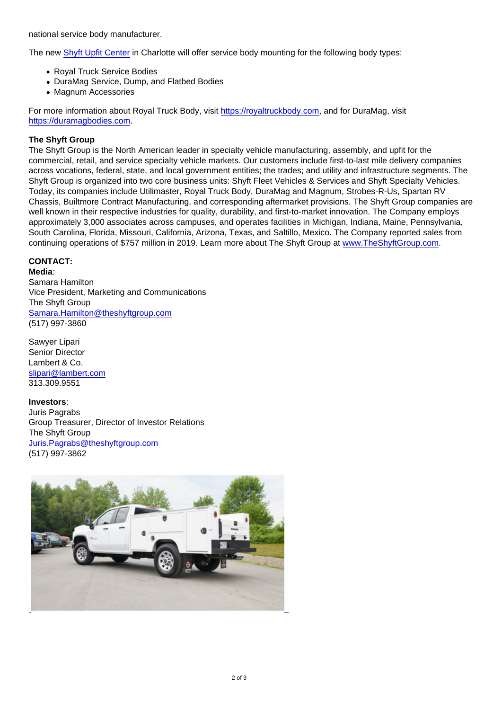national service body manufacturer.

The new [Shyft Upfit Center](https://c212.net/c/link/?t=0&l=en&o=3063169-1&h=2864670548&u=https://theshyftgroup.com/shyft-upfit-center&a=Shyft+Upfit+Center) in Charlotte will offer service body mounting for the following body types:

- Royal Truck Service Bodies
- DuraMag Service, Dump, and Flatbed Bodies
- Magnum Accessories

For more information about Royal Truck Body, visit [https://royaltruckbody.com,](https://c212.net/c/link/?t=0&l=en&o=3063169-1&h=2424719144&u=https://royaltruckbody.com/&a=https://royaltruckbody.com) and for DuraMag, visit [https://duramagbodies.com.](https://c212.net/c/link/?t=0&l=en&o=3063169-1&h=3304011034&u=https://duramagbodies.com/&a=https://duramagbodies.com)

## The Shyft Group

The Shyft Group is the North American leader in specialty vehicle manufacturing, assembly, and upfit for the commercial, retail, and service specialty vehicle markets. Our customers include first-to-last mile delivery companies across vocations, federal, state, and local government entities; the trades; and utility and infrastructure segments. The Shyft Group is organized into two core business units: Shyft Fleet Vehicles & Services and Shyft Specialty Vehicles. Today, its companies include Utilimaster, Royal Truck Body, DuraMag and Magnum, Strobes-R-Us, Spartan RV Chassis, Builtmore Contract Manufacturing, and corresponding aftermarket provisions. The Shyft Group companies are well known in their respective industries for quality, durability, and first-to-market innovation. The Company employs approximately 3,000 associates across campuses, and operates facilities in Michigan, Indiana, Maine, Pennsylvania, South Carolina, Florida, Missouri, California, Arizona, Texas, and Saltillo, Mexico. The Company reported sales from continuing operations of \$757 million in 2019. Learn more about The Shyft Group at [www.TheShyftGroup.com](https://c212.net/c/link/?t=0&l=en&o=3063169-1&h=327891709&u=http://www.theshyftgroup.com/&a=www.TheShyftGroup.com).

CONTACT:

Media: Samara Hamilton Vice President, Marketing and Communications The Shyft Group [Samara.Hamilton@theshyftgroup.com](mailto:Samara.Hamilton@theshyftgroup.com) (517) 997-3860

Sawyer Lipari Senior Director Lambert & Co. [slipari@lambert.com](mailto:slipari@lambert.com) 313.309.9551

Investors : Juris Pagrabs Group Treasurer, Director of Investor Relations The Shyft Group [Juris.Pagrabs@theshyftgroup.com](mailto:Juris.Pagrabs@theshyftgroup.com) (517) 997-3862